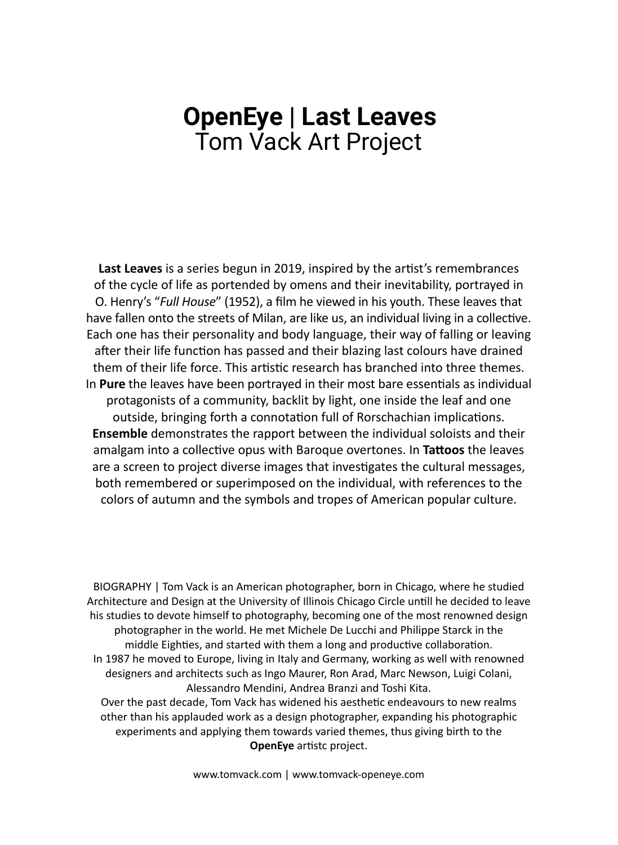## Tom Vack Art Project **OpenEye** | **Last Leaves**

**Last Leaves** is a series begun in 2019, inspired by the artist's remembrances of the cycle of life as portended by omens and their inevitability, portrayed in O. Henry's "*Full House*" (1952), a film he viewed in his youth. These leaves that have fallen onto the streets of Milan, are like us, an individual living in a collective. Each one has their personality and body language, their way of falling or leaving after their life function has passed and their blazing last colours have drained them of their life force. This artistic research has branched into three themes. In **Pure** the leaves have been portrayed in their most bare essentials as individual protagonists of a community, backlit by light, one inside the leaf and one outside, bringing forth a connotation full of Rorschachian implications. **Ensemble** demonstrates the rapport between the individual soloists and their amalgam into a collective opus with Baroque overtones. In **Tattoos** the leaves are a screen to project diverse images that investigates the cultural messages, both remembered or superimposed on the individual, with references to the colors of autumn and the symbols and tropes of American popular culture.

BIOGRAPHY | Tom Vack is an American photographer, born in Chicago, where he studied Architecture and Design at the University of Illinois Chicago Circle untill he decided to leave his studies to devote himself to photography, becoming one of the most renowned design photographer in the world. He met Michele De Lucchi and Philippe Starck in the middle Eighties, and started with them a long and productive collaboration. In 1987 he moved to Europe, living in Italy and Germany, working as well with renowned designers and architects such as Ingo Maurer, Ron Arad, Marc Newson, Luigi Colani, Alessandro Mendini, Andrea Branzi and Toshi Kita. Over the past decade, Tom Vack has widened his aesthetic endeavours to new realms other than his applauded work as a design photographer, expanding his photographic experiments and applying them towards varied themes, thus giving birth to the **OpenEye** artistc project.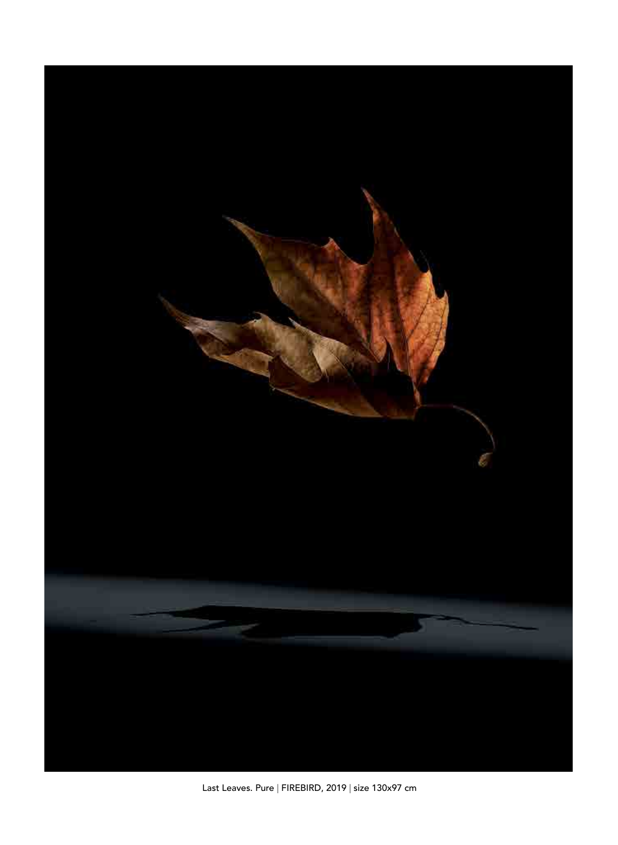

Last Leaves. Pure | FIREBIRD, 2019 | size 130x97 cm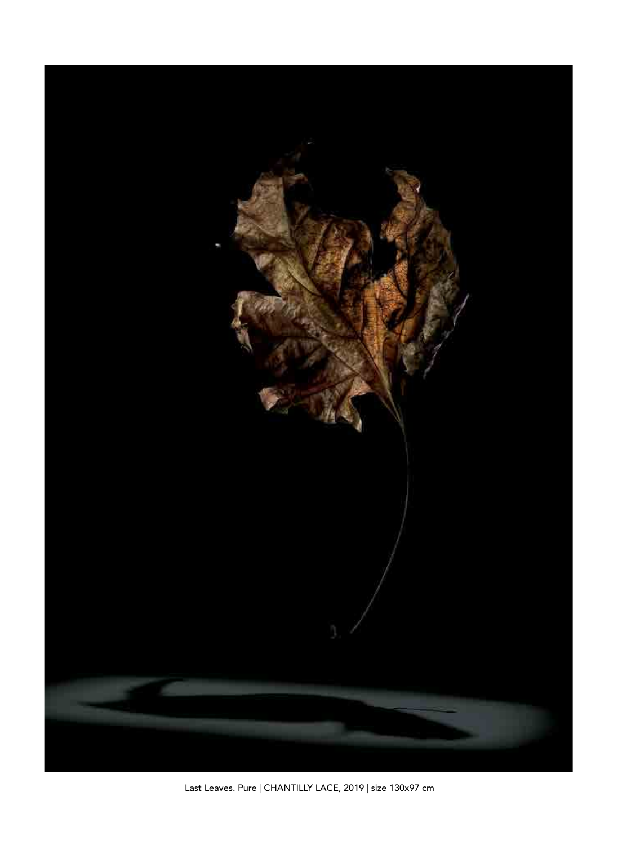

Last Leaves. Pure | CHANTILLY LACE, 2019 | size 130x97 cm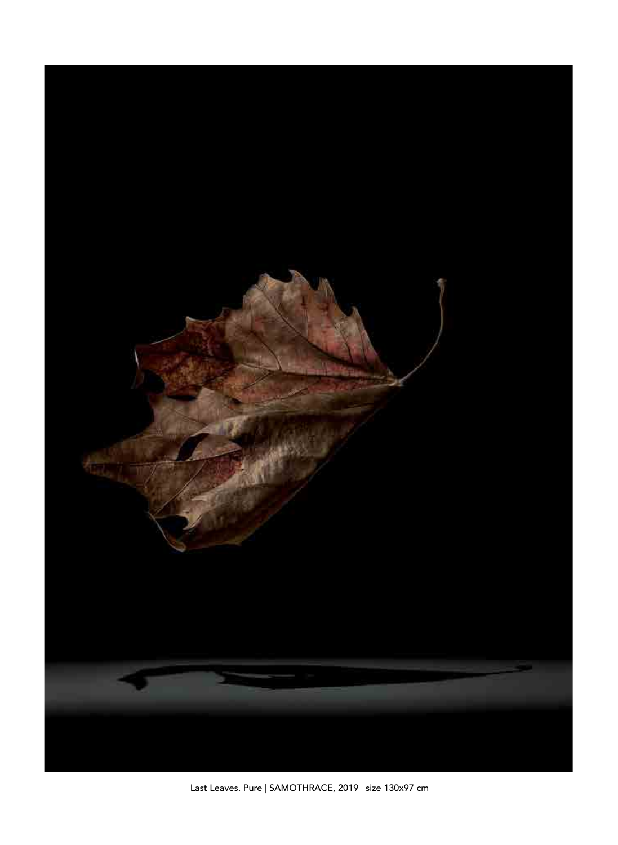

Last Leaves. Pure | SAMOTHRACE, 2019 | size 130x97 cm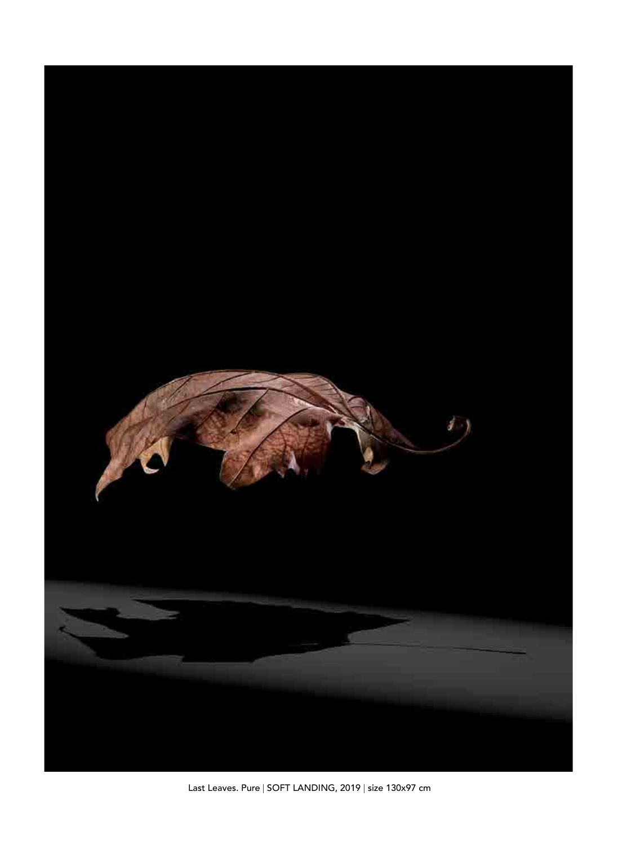

Last Leaves. Pure | SOFT LANDING, 2019 | size 130x97 cm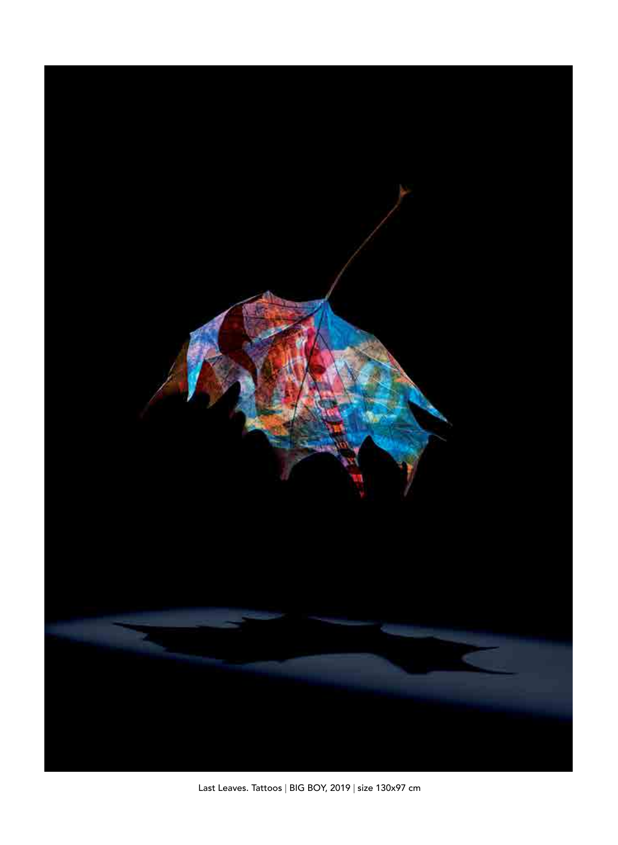

Last Leaves. Tattoos | BIG BOY, 2019 | size 130x97 cm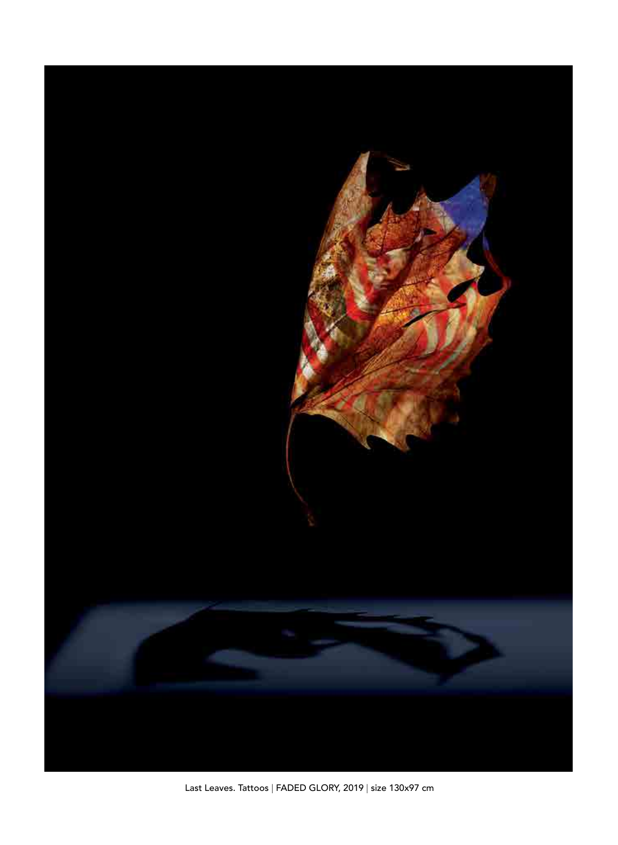

Last Leaves. Tattoos | FADED GLORY, 2019 | size 130x97 cm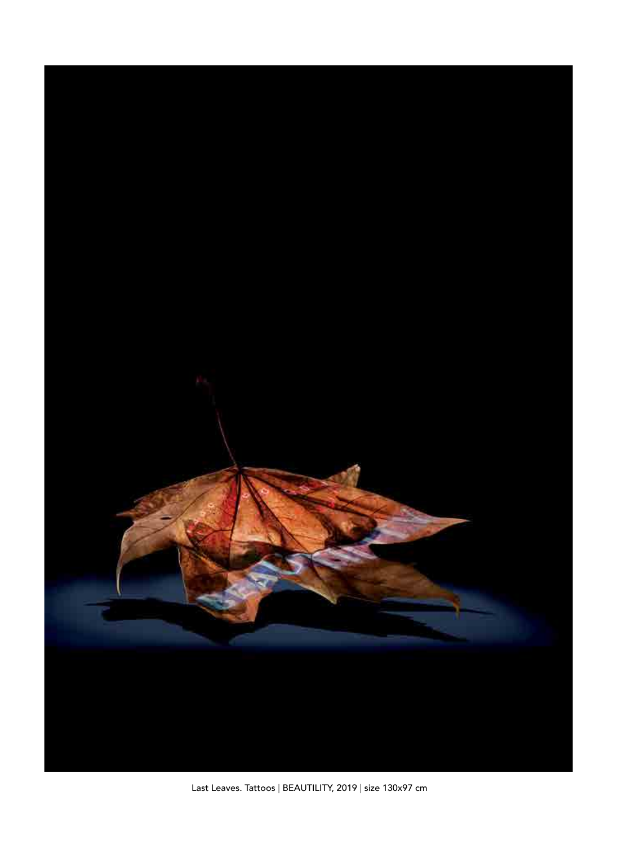

Last Leaves. Tattoos | BEAUTILITY, 2019 | size 130x97 cm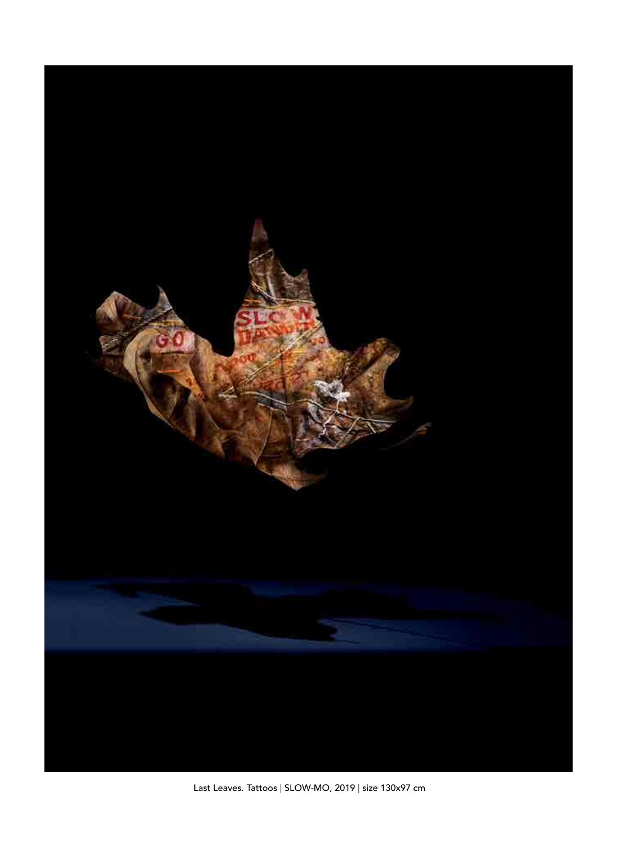

Last Leaves. Tattoos | SLOW-MO, 2019 | size 130x97 cm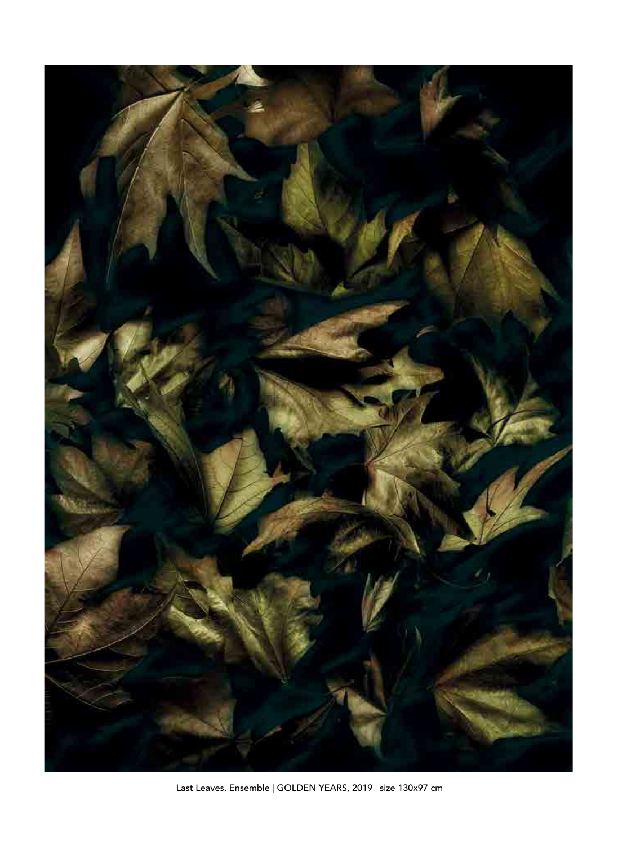

Last Leaves. Ensemble | GOLDEN YEARS, 2019 | size 130x97 cm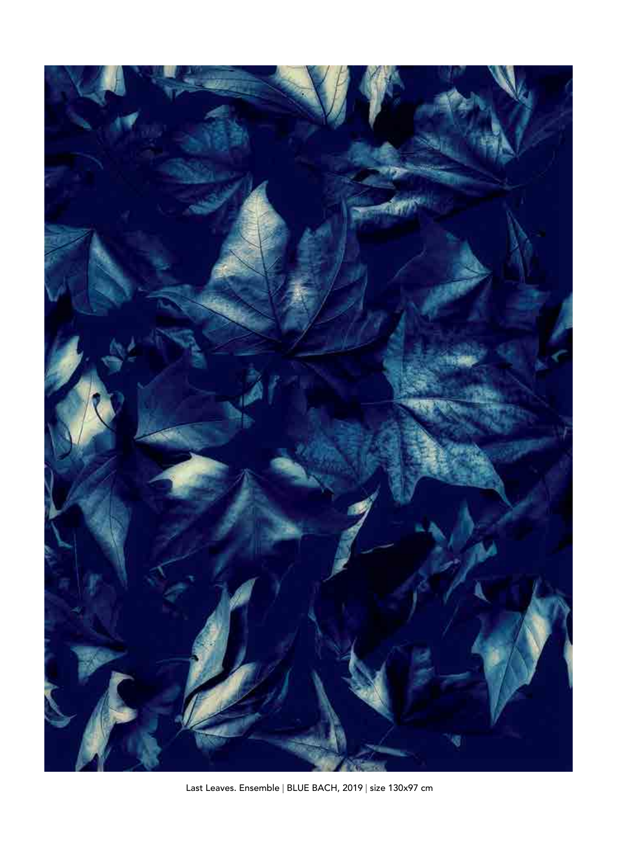

Last Leaves. Ensemble | BLUE BACH, 2019 | size 130x97 cm